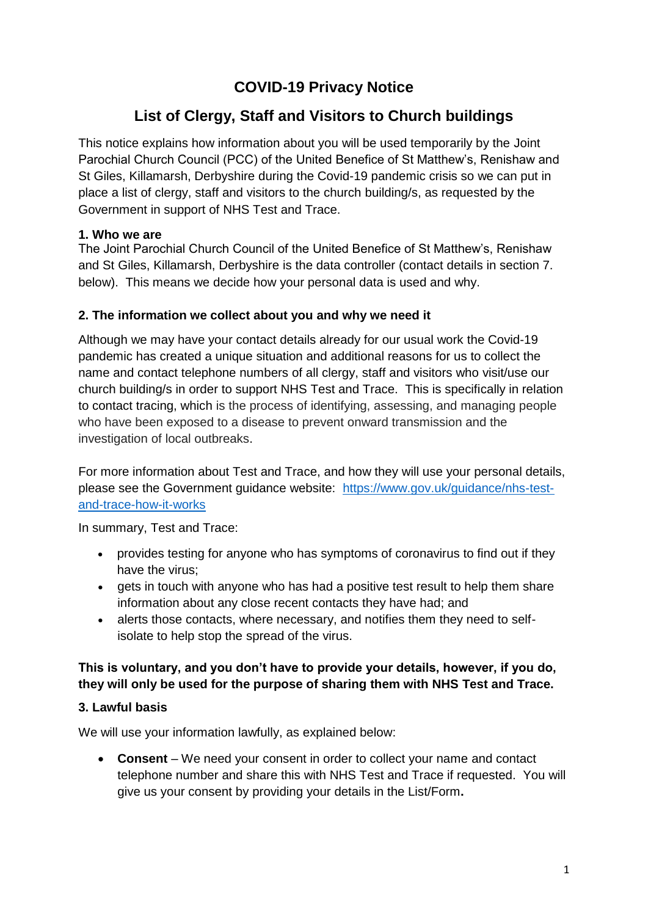# **COVID-19 Privacy Notice**

## **List of Clergy, Staff and Visitors to Church buildings**

This notice explains how information about you will be used temporarily by the Joint Parochial Church Council (PCC) of the United Benefice of St Matthew's, Renishaw and St Giles, Killamarsh, Derbyshire during the Covid-19 pandemic crisis so we can put in place a list of clergy, staff and visitors to the church building/s, as requested by the Government in support of NHS Test and Trace.

#### **1. Who we are**

The Joint Parochial Church Council of the United Benefice of St Matthew's, Renishaw and St Giles, Killamarsh, Derbyshire is the data controller (contact details in section 7. below). This means we decide how your personal data is used and why.

#### **2. The information we collect about you and why we need it**

Although we may have your contact details already for our usual work the Covid-19 pandemic has created a unique situation and additional reasons for us to collect the name and contact telephone numbers of all clergy, staff and visitors who visit/use our church building/s in order to support NHS Test and Trace. This is specifically in relation to contact tracing, which is the process of identifying, assessing, and managing people who have been exposed to a disease to prevent onward transmission and the investigation of local outbreaks.

For more information about Test and Trace, and how they will use your personal details, please see the Government guidance website: [https://www.gov.uk/guidance/nhs-test](https://www.gov.uk/guidance/nhs-test-and-trace-how-it-works)[and-trace-how-it-works](https://www.gov.uk/guidance/nhs-test-and-trace-how-it-works)

In summary, Test and Trace:

- provides testing for anyone who has symptoms of coronavirus to find out if they have the virus;
- gets in touch with anyone who has had a positive test result to help them share information about any close recent contacts they have had; and
- alerts those contacts, where necessary, and notifies them they need to selfisolate to help stop the spread of the virus.

#### **This is voluntary, and you don't have to provide your details, however, if you do, they will only be used for the purpose of sharing them with NHS Test and Trace.**

#### **3. Lawful basis**

We will use your information lawfully, as explained below:

 **Consent** – We need your consent in order to collect your name and contact telephone number and share this with NHS Test and Trace if requested. You will give us your consent by providing your details in the List/Form**.**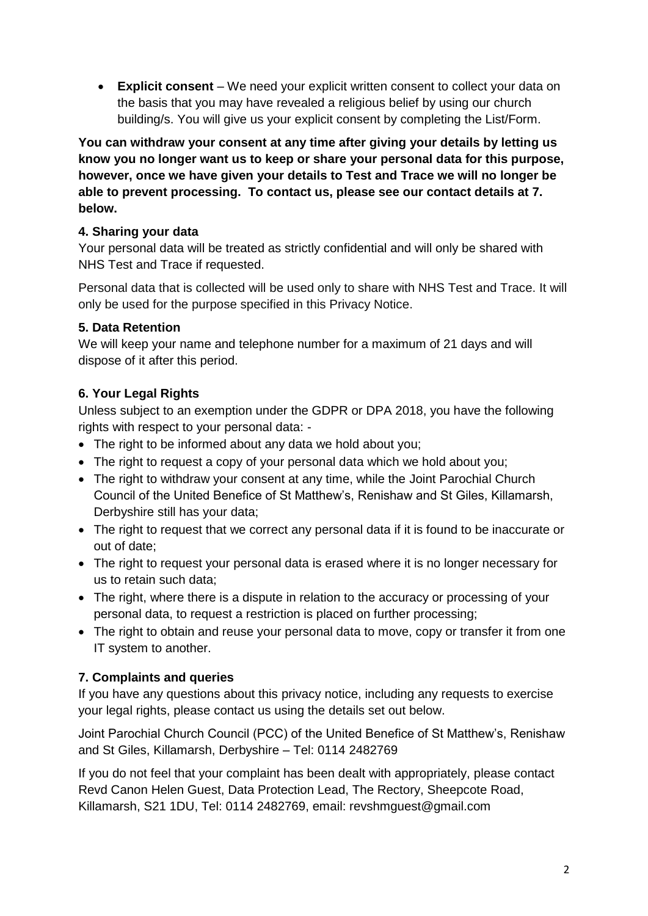**Explicit consent** – We need your explicit written consent to collect your data on the basis that you may have revealed a religious belief by using our church building/s. You will give us your explicit consent by completing the List/Form.

**You can withdraw your consent at any time after giving your details by letting us know you no longer want us to keep or share your personal data for this purpose, however, once we have given your details to Test and Trace we will no longer be able to prevent processing. To contact us, please see our contact details at 7. below.** 

#### **4. Sharing your data**

Your personal data will be treated as strictly confidential and will only be shared with NHS Test and Trace if requested.

Personal data that is collected will be used only to share with NHS Test and Trace. It will only be used for the purpose specified in this Privacy Notice.

### **5. Data Retention**

We will keep your name and telephone number for a maximum of 21 days and will dispose of it after this period.

### **6. Your Legal Rights**

Unless subject to an exemption under the GDPR or DPA 2018, you have the following rights with respect to your personal data: -

- The right to be informed about any data we hold about you;
- The right to request a copy of your personal data which we hold about you;
- The right to withdraw your consent at any time, while the Joint Parochial Church Council of the United Benefice of St Matthew's, Renishaw and St Giles, Killamarsh, Derbyshire still has your data;
- The right to request that we correct any personal data if it is found to be inaccurate or out of date;
- The right to request your personal data is erased where it is no longer necessary for us to retain such data;
- The right, where there is a dispute in relation to the accuracy or processing of your personal data, to request a restriction is placed on further processing;
- The right to obtain and reuse your personal data to move, copy or transfer it from one IT system to another.

## **7. Complaints and queries**

If you have any questions about this privacy notice, including any requests to exercise your legal rights, please contact us using the details set out below.

Joint Parochial Church Council (PCC) of the United Benefice of St Matthew's, Renishaw and St Giles, Killamarsh, Derbyshire – Tel: 0114 2482769

If you do not feel that your complaint has been dealt with appropriately, please contact Revd Canon Helen Guest, Data Protection Lead, The Rectory, Sheepcote Road, Killamarsh, S21 1DU, Tel: 0114 2482769, email: revshmguest@gmail.com